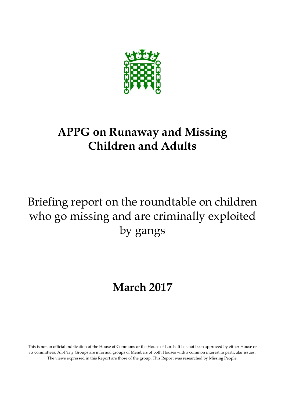

## **APPG on Runaway and Missing Children and Adults**

# Briefing report on the roundtable on children who go missing and are criminally exploited by gangs

# **March 2017**

This is not an official publication of the House of Commons or the House of Lords. It has not been approved by either House or its committees. All-Party Groups are informal groups of Members of both Houses with a common interest in particular issues. The views expressed in this Report are those of the group. This Report was researched by Missing People.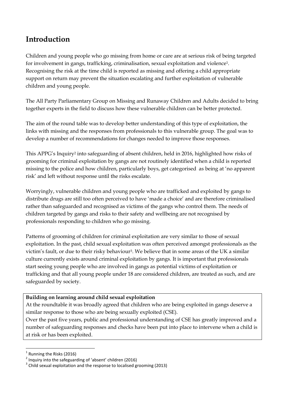### **Introduction**

Children and young people who go missing from home or care are at serious risk of being targeted for involvement in gangs, trafficking, criminalisation, sexual exploitation and violence1. Recognising the risk at the time child is reported as missing and offering a child appropriate support on return may prevent the situation escalating and further exploitation of vulnerable children and young people.

The All Party Parliamentary Group on Missing and Runaway Children and Adults decided to bring together experts in the field to discuss how these vulnerable children can be better protected.

The aim of the round table was to develop better understanding of this type of exploitation, the links with missing and the responses from professionals to this vulnerable group. The goal was to develop a number of recommendations for changes needed to improve those responses.

This APPG's Inquiry<sup>2</sup> into safeguarding of absent children, held in 2016, highlighted how risks of grooming for criminal exploitation by gangs are not routinely identified when a child is reported missing to the police and how children, particularly boys, get categorised as being at 'no apparent risk' and left without response until the risks escalate.

Worryingly, vulnerable children and young people who are trafficked and exploited by gangs to distribute drugs are still too often perceived to have 'made a choice' and are therefore criminalised rather than safeguarded and recognised as victims of the gangs who control them. The needs of children targeted by gangs and risks to their safety and wellbeing are not recognised by professionals responding to children who go missing.

Patterns of grooming of children for criminal exploitation are very similar to those of sexual exploitation. In the past, child sexual exploitation was often perceived amongst professionals as the victim's fault, or due to their risky behaviour3. We believe that in some areas of the UK a similar culture currently exists around criminal exploitation by gangs. It is important that professionals start seeing young people who are involved in gangs as potential victims of exploitation or trafficking and that all young people under 18 are considered children, are treated as such, and are safeguarded by society.

#### **Building on learning around child sexual exploitation**

At the roundtable it was broadly agreed that children who are being exploited in gangs deserve a similar response to those who are being sexually exploited (CSE).

Over the past five years, public and professional understanding of CSE has greatly improved and a number of safeguarding responses and checks have been put into place to intervene when a child is at risk or has been exploited.

**<sup>.</sup>**  $1$  Running the Risks (2016)

 $2$  Inquiry into the safeguarding of 'absent' children (2016)

 $3$  Child sexual exploitation and the response to localised grooming (2013)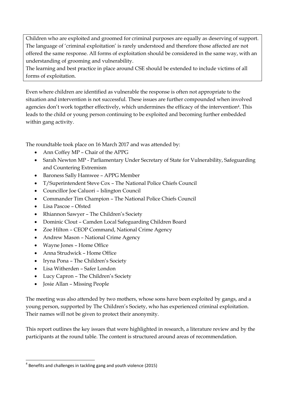Children who are exploited and groomed for criminal purposes are equally as deserving of support. The language of 'criminal exploitation' is rarely understood and therefore those affected are not offered the same response. All forms of exploitation should be considered in the same way, with an understanding of grooming and vulnerability.

The learning and best practice in place around CSE should be extended to include victims of all forms of exploitation.

Even where children are identified as vulnerable the response is often not appropriate to the situation and intervention is not successful. These issues are further compounded when involved agencies don't work together effectively, which undermines the efficacy of the intervention<sup>4</sup>. This leads to the child or young person continuing to be exploited and becoming further embedded within gang activity.

The roundtable took place on 16 March 2017 and was attended by:

- Ann Coffey MP Chair of the APPG
- Sarah Newton MP Parliamentary Under Secretary of State for Vulnerability, Safeguarding and Countering Extremism
- Baroness Sally Hamwee APPG Member
- T/Superintendent Steve Cox The National Police Chiefs Council
- Councillor Joe Caluori Islington Council
- Commander Tim Champion The National Police Chiefs Council
- Lisa Pascoe Ofsted
- Rhiannon Sawyer The Children's Society
- Dominic Clout Camden Local Safeguarding Children Board
- Zoe Hilton CEOP Command, National Crime Agency
- Andrew Mason National Crime Agency
- Wayne Jones Home Office
- Anna Strudwick Home Office
- Iryna Pona The Children's Society
- Lisa Witherden Safer London
- Lucy Capron The Children's Society
- Josie Allan Missing People

**.** 

The meeting was also attended by two mothers, whose sons have been exploited by gangs, and a young person, supported by The Children's Society, who has experienced criminal exploitation. Their names will not be given to protect their anonymity.

This report outlines the key issues that were highlighted in research, a literature review and by the participants at the round table. The content is structured around areas of recommendation.

 $<sup>4</sup>$  Benefits and challenges in tackling gang and youth violence (2015)</sup>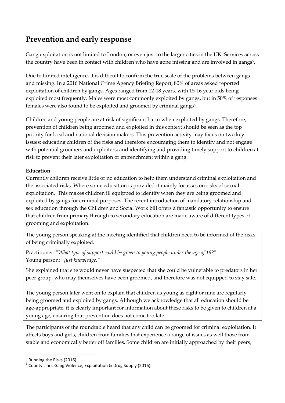## **Prevention and early response**

Gang exploitation is not limited to London, or even just to the larger cities in the UK. Services across the country have been in contact with children who have gone missing and are involved in gangs<sup>5</sup>.

Due to limited intelligence, it is difficult to confirm the true scale of the problems between gangs and missing. In a 2016 National Crime Agency Briefing Report, 80% of areas asked reported exploitation of children by gangs. Ages ranged from 12-18 years, with 15-16 year olds being exploited most frequently. Males were most commonly exploited by gangs, but in 50% of responses females were also found to be exploited and groomed by criminal gangs<sup>6</sup>.

Children and young people are at risk of significant harm when exploited by gangs. Therefore, prevention of children being groomed and exploited in this context should be seen as the top priority for local and national decision makers. This prevention activity may focus on two key issues: educating children of the risks and therefore encouraging them to identify and not engage with potential groomers and exploiters; and identifying and providing timely support to children at risk to prevent their later exploitation or entrenchment within a gang.

#### **Education**

Currently children receive little or no education to help them understand criminal exploitation and the associated risks. Where some education is provided it mainly focusses on risks of sexual exploitation. This makes children ill equipped to identify when they are being groomed and exploited by gangs for criminal purposes. The recent introduction of mandatory relationship and sex education through the Children and Social Work bill offers a fantastic opportunity to ensure that children from primary through to secondary education are made aware of different types of grooming and exploitation.

The young person speaking at the meeting identified that children need to be informed of the risks of being criminally exploited.

Practitioner: "*What type of support could be given to young people under the age of 16?*" Young person: "*Just knowledge."*

She explained that she would never have suspected that she could be vulnerable to predators in her peer group, who may themselves have been groomed, and therefore was not equipped to stay safe.

The young person later went on to explain that children as young as eight or nine are regularly being groomed and exploited by gangs. Although we acknowledge that all education should be age-appropriate, it is clearly important for information about these risks to be given to children at a young age, ensuring that prevention does not come too late.

The participants of the roundtable heard that any child can be groomed for criminal exploitation. It affects boys and girls, children from families that experience a range of issues as well those from stable and economically better off families. Some children are initially approached by their peers,

**.** 

<sup>&</sup>lt;sup>5</sup> Running the Risks (2016)

<sup>6</sup> County Lines Gang Violence, Exploitation & Drug Supply (2016)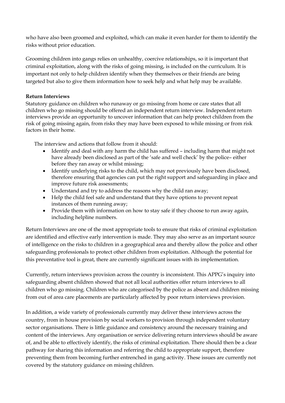who have also been groomed and exploited, which can make it even harder for them to identify the risks without prior education.

Grooming children into gangs relies on unhealthy, coercive relationships, so it is important that criminal exploitation, along with the risks of going missing, is included on the curriculum. It is important not only to help children identify when they themselves or their friends are being targeted but also to give them information how to seek help and what help may be available.

#### **Return Interviews**

Statutory guidance on children who runaway or go missing from home or care states that all children who go missing should be offered an independent return interview. Independent return interviews provide an opportunity to uncover information that can help protect children from the risk of going missing again, from risks they may have been exposed to while missing or from risk factors in their home.

The interview and actions that follow from it should:

- Identify and deal with any harm the child has suffered including harm that might not have already been disclosed as part of the 'safe and well check' by the police– either before they ran away or whilst missing;
- Identify underlying risks to the child, which may not previously have been disclosed, therefore ensuring that agencies can put the right support and safeguarding in place and improve future risk assessments;
- Understand and try to address the reasons why the child ran away;
- Help the child feel safe and understand that they have options to prevent repeat instances of them running away;
- Provide them with information on how to stay safe if they choose to run away again, including helpline numbers.

Return Interviews are one of the most appropriate tools to ensure that risks of criminal exploitation are identified and effective early intervention is made. They may also serve as an important source of intelligence on the risks to children in a geographical area and thereby allow the police and other safeguarding professionals to protect other children from exploitation. Although the potential for this preventative tool is great, there are currently significant issues with its implementation.

Currently, return interviews provision across the country is inconsistent. This APPG's inquiry into safeguarding absent children showed that not all local authorities offer return interviews to all children who go missing. Children who are categorised by the police as absent and children missing from out of area care placements are particularly affected by poor return interviews provision.

In addition, a wide variety of professionals currently may deliver these interviews across the country, from in house provision by social workers to provision through independent voluntary sector organisations. There is little guidance and consistency around the necessary training and content of the interviews. Any organisation or service delivering return interviews should be aware of, and be able to effectively identify, the risks of criminal exploitation. There should then be a clear pathway for sharing this information and referring the child to appropriate support, therefore preventing them from becoming further entrenched in gang activity. These issues are currently not covered by the statutory guidance on missing children.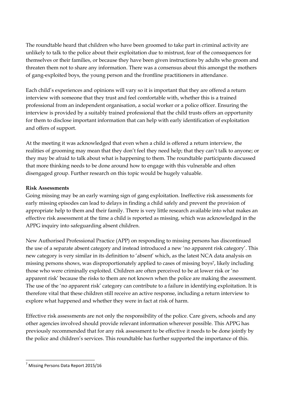The roundtable heard that children who have been groomed to take part in criminal activity are unlikely to talk to the police about their exploitation due to mistrust, fear of the consequences for themselves or their families, or because they have been given instructions by adults who groom and threaten them not to share any information. There was a consensus about this amongst the mothers of gang-exploited boys, the young person and the frontline practitioners in attendance.

Each child's experiences and opinions will vary so it is important that they are offered a return interview with someone that they trust and feel comfortable with, whether this is a trained professional from an independent organisation, a social worker or a police officer. Ensuring the interview is provided by a suitably trained professional that the child trusts offers an opportunity for them to disclose important information that can help with early identification of exploitation and offers of support.

At the meeting it was acknowledged that even when a child is offered a return interview, the realities of grooming may mean that they don't feel they need help; that they can't talk to anyone; or they may be afraid to talk about what is happening to them. The roundtable participants discussed that more thinking needs to be done around how to engage with this vulnerable and often disengaged group. Further research on this topic would be hugely valuable.

#### **Risk Assessments**

Going missing may be an early warning sign of gang exploitation. Ineffective risk assessments for early missing episodes can lead to delays in finding a child safely and prevent the provision of appropriate help to them and their family. There is very little research available into what makes an effective risk assessment at the time a child is reported as missing, which was acknowledged in the APPG inquiry into safeguarding absent children.

New Authorised Professional Practice (APP) on responding to missing persons has discontinued the use of a separate absent category and instead introduced a new 'no apparent risk category'. This new category is very similar in its definition to 'absent' which, as the latest NCA data analysis on missing persons shows, was disproportionately applied to cases of missing boys7, likely including those who were criminally exploited. Children are often perceived to be at lower risk or 'no apparent risk' because the risks to them are not known when the police are making the assessment. The use of the 'no apparent risk' category can contribute to a failure in identifying exploitation. It is therefore vital that these children still receive an active response, including a return interview to explore what happened and whether they were in fact at risk of harm.

Effective risk assessments are not only the responsibility of the police. Care givers, schools and any other agencies involved should provide relevant information wherever possible. This APPG has previously recommended that for any risk assessment to be effective it needs to be done jointly by the police and children's services. This roundtable has further supported the importance of this.

**<sup>.</sup>** <sup>7</sup> Missing Persons Data Report 2015/16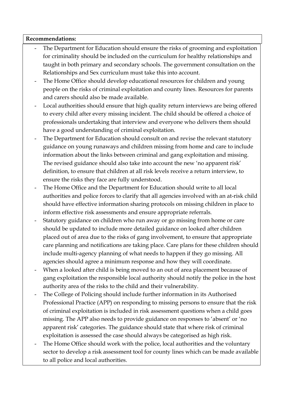#### **Recommendations:**

- The Department for Education should ensure the risks of grooming and exploitation for criminality should be included on the curriculum for healthy relationships and taught in both primary and secondary schools. The government consultation on the Relationships and Sex curriculum must take this into account.
- The Home Office should develop educational resources for children and young people on the risks of criminal exploitation and county lines. Resources for parents and carers should also be made available.
- Local authorities should ensure that high quality return interviews are being offered to every child after every missing incident. The child should be offered a choice of professionals undertaking that interview and everyone who delivers them should have a good understanding of criminal exploitation.
- The Department for Education should consult on and revise the relevant statutory guidance on young runaways and children missing from home and care to include information about the links between criminal and gang exploitation and missing. The revised guidance should also take into account the new 'no apparent risk' definition, to ensure that children at all risk levels receive a return interview, to ensure the risks they face are fully understood.
- The Home Office and the Department for Education should write to all local authorities and police forces to clarify that all agencies involved with an at-risk child should have effective information sharing protocols on missing children in place to inform effective risk assessments and ensure appropriate referrals.
- Statutory guidance on children who run away or go missing from home or care should be updated to include more detailed guidance on looked after children placed out of area due to the risks of gang involvement, to ensure that appropriate care planning and notifications are taking place. Care plans for these children should include multi-agency planning of what needs to happen if they go missing. All agencies should agree a minimum response and how they will coordinate.
- When a looked after child is being moved to an out of area placement because of gang exploitation the responsible local authority should notify the police in the host authority area of the risks to the child and their vulnerability.
- The College of Policing should include further information in its Authorised Professional Practice (APP) on responding to missing persons to ensure that the risk of criminal exploitation is included in risk assessment questions when a child goes missing. The APP also needs to provide guidance on responses to 'absent' or 'no apparent risk' categories. The guidance should state that where risk of criminal exploitation is assessed the case should always be categorised as high risk.
- The Home Office should work with the police, local authorities and the voluntary sector to develop a risk assessment tool for county lines which can be made available to all police and local authorities.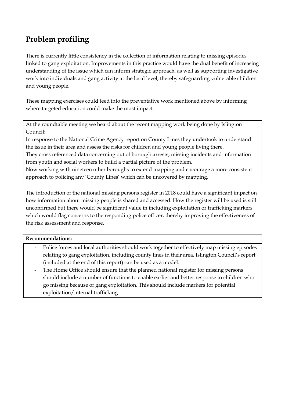## **Problem profiling**

There is currently little consistency in the collection of information relating to missing episodes linked to gang exploitation. Improvements in this practice would have the dual benefit of increasing understanding of the issue which can inform strategic approach, as well as supporting investigative work into individuals and gang activity at the local level, thereby safeguarding vulnerable children and young people.

These mapping exercises could feed into the preventative work mentioned above by informing where targeted education could make the most impact.

At the roundtable meeting we heard about the recent mapping work being done by Islington Council:

In response to the National Crime Agency report on County Lines they undertook to understand the issue in their area and assess the risks for children and young people living there.

They cross referenced data concerning out of borough arrests, missing incidents and information from youth and social workers to build a partial picture of the problem.

Now working with nineteen other boroughs to extend mapping and encourage a more consistent approach to policing any 'County Lines' which can be uncovered by mapping.

The introduction of the national missing persons register in 2018 could have a significant impact on how information about missing people is shared and accessed. How the register will be used is still unconfirmed but there would be significant value in including exploitation or trafficking markers which would flag concerns to the responding police officer, thereby improving the effectiveness of the risk assessment and response.

#### **Recommendations:**

- Police forces and local authorities should work together to effectively map missing episodes relating to gang exploitation, including county lines in their area. Islington Council's report (included at the end of this report) can be used as a model.
- The Home Office should ensure that the planned national register for missing persons should include a number of functions to enable earlier and better response to children who go missing because of gang exploitation. This should include markers for potential exploitation/internal trafficking.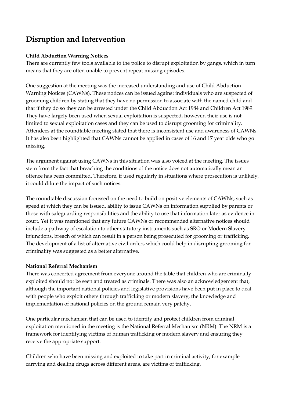## **Disruption and Intervention**

#### **Child Abduction Warning Notices**

There are currently few tools available to the police to disrupt exploitation by gangs, which in turn means that they are often unable to prevent repeat missing episodes.

One suggestion at the meeting was the increased understanding and use of Child Abduction Warning Notices (CAWNs). These notices can be issued against individuals who are suspected of grooming children by stating that they have no permission to associate with the named child and that if they do so they can be arrested under the Child Abduction Act 1984 and Children Act 1989. They have largely been used when sexual exploitation is suspected, however, their use is not limited to sexual exploitation cases and they can be used to disrupt grooming for criminality. Attendees at the roundtable meeting stated that there is inconsistent use and awareness of CAWNs. It has also been highlighted that CAWNs cannot be applied in cases of 16 and 17 year olds who go missing.

The argument against using CAWNs in this situation was also voiced at the meeting. The issues stem from the fact that breaching the conditions of the notice does not automatically mean an offence has been committed. Therefore, if used regularly in situations where prosecution is unlikely, it could dilute the impact of such notices.

The roundtable discussion focussed on the need to build on positive elements of CAWNs, such as speed at which they can be issued, ability to issue CAWNs on information supplied by parents or those with safeguarding responsibilities and the ability to use that information later as evidence in court. Yet it was mentioned that any future CAWNs or recommended alternative notices should include a pathway of escalation to other statutory instruments such as SRO or Modern Slavery injunctions, breach of which can result in a person being prosecuted for grooming or trafficking. The development of a list of alternative civil orders which could help in disrupting grooming for criminality was suggested as a better alternative.

#### **National Referral Mechanism**

There was concerted agreement from everyone around the table that children who are criminally exploited should not be seen and treated as criminals. There was also an acknowledgement that, although the important national policies and legislative provisions have been put in place to deal with people who exploit others through trafficking or modern slavery, the knowledge and implementation of national policies on the ground remain very patchy.

One particular mechanism that can be used to identify and protect children from criminal exploitation mentioned in the meeting is the National Referral Mechanism (NRM). The NRM is a framework for identifying victims of human trafficking or modern slavery and ensuring they receive the appropriate support.

Children who have been missing and exploited to take part in criminal activity, for example carrying and dealing drugs across different areas, are victims of trafficking.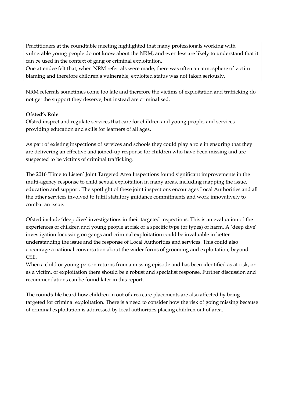Practitioners at the roundtable meeting highlighted that many professionals working with vulnerable young people do not know about the NRM, and even less are likely to understand that it can be used in the context of gang or criminal exploitation.

One attendee felt that, when NRM referrals were made, there was often an atmosphere of victim blaming and therefore children's vulnerable, exploited status was not taken seriously.

NRM referrals sometimes come too late and therefore the victims of exploitation and trafficking do not get the support they deserve, but instead are criminalised.

#### **Ofsted's Role**

Ofsted inspect and regulate services that care for children and young people, and services providing education and skills for learners of all ages.

As part of existing inspections of services and schools they could play a role in ensuring that they are delivering an effective and joined-up response for children who have been missing and are suspected to be victims of criminal trafficking.

The 2016 'Time to Listen' Joint Targeted Area Inspections found significant improvements in the multi-agency response to child sexual exploitation in many areas, including mapping the issue, education and support. The spotlight of these joint inspections encourages Local Authorities and all the other services involved to fulfil statutory guidance commitments and work innovatively to combat an issue.

Ofsted include 'deep dive' investigations in their targeted inspections. This is an evaluation of the experiences of children and young people at risk of a specific type (or types) of harm. A 'deep dive' investigation focussing on gangs and criminal exploitation could be invaluable in better understanding the issue and the response of Local Authorities and services. This could also encourage a national conversation about the wider forms of grooming and exploitation, beyond CSE.

When a child or young person returns from a missing episode and has been identified as at risk, or as a victim, of exploitation there should be a robust and specialist response. Further discussion and recommendations can be found later in this report.

The roundtable heard how children in out of area care placements are also affected by being targeted for criminal exploitation. There is a need to consider how the risk of going missing because of criminal exploitation is addressed by local authorities placing children out of area.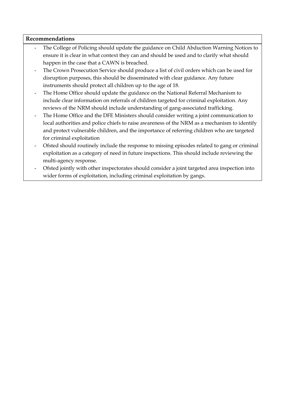#### **Recommendations**

- The College of Policing should update the guidance on Child Abduction Warning Notices to ensure it is clear in what context they can and should be used and to clarify what should happen in the case that a CAWN is breached.
- The Crown Prosecution Service should produce a list of civil orders which can be used for disruption purposes, this should be disseminated with clear guidance. Any future instruments should protect all children up to the age of 18.
- The Home Office should update the guidance on the National Referral Mechanism to include clear information on referrals of children targeted for criminal exploitation. Any reviews of the NRM should include understanding of gang-associated trafficking.
- The Home Office and the DFE Ministers should consider writing a joint communication to local authorities and police chiefs to raise awareness of the NRM as a mechanism to identify and protect vulnerable children, and the importance of referring children who are targeted for criminal exploitation
- Ofsted should routinely include the response to missing episodes related to gang or criminal exploitation as a category of need in future inspections. This should include reviewing the multi-agency response.
- Ofsted jointly with other inspectorates should consider a joint targeted area inspection into wider forms of exploitation, including criminal exploitation by gangs.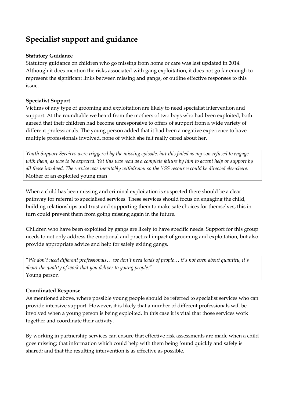## **Specialist support and guidance**

#### **Statutory Guidance**

Statutory guidance on children who go missing from home or care was last updated in 2014. Although it does mention the risks associated with gang exploitation, it does not go far enough to represent the significant links between missing and gangs, or outline effective responses to this issue.

#### **Specialist Support**

Victims of any type of grooming and exploitation are likely to need specialist intervention and support. At the roundtable we heard from the mothers of two boys who had been exploited, both agreed that their children had become unresponsive to offers of support from a wide variety of different professionals. The young person added that it had been a negative experience to have multiple professionals involved, none of which she felt really cared about her.

*Youth Support Services were triggered by the missing episode, but this failed as my son refused to engage*  with them, as was to be expected. Yet this was read as a complete failure by him to accept help or support by *all those involved. The service was inevitably withdrawn so the YSS resource could be directed elsewhere.* Mother of an exploited young man

When a child has been missing and criminal exploitation is suspected there should be a clear pathway for referral to specialised services. These services should focus on engaging the child, building relationships and trust and supporting them to make safe choices for themselves, this in turn could prevent them from going missing again in the future.

Children who have been exploited by gangs are likely to have specific needs. Support for this group needs to not only address the emotional and practical impact of grooming and exploitation, but also provide appropriate advice and help for safely exiting gangs.

"*We don't need different professionals… we don't need loads of people… it's not even about quantity, it's about the quality of work that you deliver to young people.*" Young person

#### **Coordinated Response**

As mentioned above, where possible young people should be referred to specialist services who can provide intensive support. However, it is likely that a number of different professionals will be involved when a young person is being exploited. In this case it is vital that those services work together and coordinate their activity.

By working in partnership services can ensure that effective risk assessments are made when a child goes missing; that information which could help with them being found quickly and safely is shared; and that the resulting intervention is as effective as possible.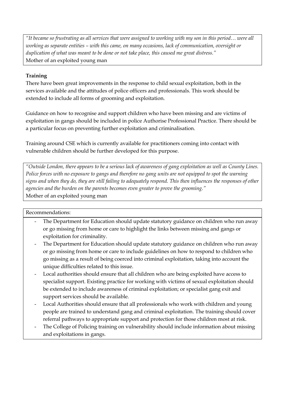*"It became so frustrating as all services that were assigned to working with my son in this period… were all working as separate entities – with this came, on many occasions, lack of communication, oversight or duplication of what was meant to be done or not take place, this caused me great distress."* Mother of an exploited young man

#### **Training**

There have been great improvements in the response to child sexual exploitation, both in the services available and the attitudes of police officers and professionals. This work should be extended to include all forms of grooming and exploitation.

Guidance on how to recognise and support children who have been missing and are victims of exploitation in gangs should be included in police Authorise Professional Practice. There should be a particular focus on preventing further exploitation and criminalisation.

Training around CSE which is currently available for practitioners coming into contact with vulnerable children should be further developed for this purpose.

*"Outside London, there appears to be a serious lack of awareness of gang exploitation as well as County Lines. Police forces with no exposure to gangs and therefore no gang units are not equipped to spot the warning signs and when they do, they are still failing to adequately respond. This then influences the responses of other agencies and the burden on the parents becomes even greater to prove the grooming."* Mother of an exploited young man

#### Recommendations:

- The Department for Education should update statutory guidance on children who run away or go missing from home or care to highlight the links between missing and gangs or exploitation for criminality.
- The Department for Education should update statutory guidance on children who run away or go missing from home or care to include guidelines on how to respond to children who go missing as a result of being coerced into criminal exploitation, taking into account the unique difficulties related to this issue.
- Local authorities should ensure that all children who are being exploited have access to specialist support. Existing practice for working with victims of sexual exploitation should be extended to include awareness of criminal exploitation; or specialist gang exit and support services should be available.
- Local Authorities should ensure that all professionals who work with children and young people are trained to understand gang and criminal exploitation. The training should cover referral pathways to appropriate support and protection for those children most at risk.
- The College of Policing training on vulnerability should include information about missing and exploitations in gangs.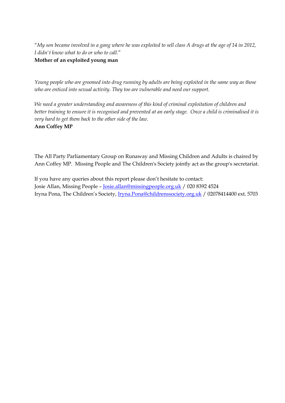"*My son became involved in a gang where he was exploited to sell class A drugs at the age of 14 in 2012, I didn't know what to do or who to call.*"

#### **Mother of an exploited young man**

*Young people who are groomed into drug running by adults are being exploited in the same way as those who are enticed into sexual activity. They too are vulnerable and need our support.*

*We need a greater understanding and awareness of this kind of criminal exploitation of children and*  better training to ensure it is recognised and prevented at an early stage. Once a child is criminalised it is *very hard to get them back to the other side of the law.* **Ann Coffey MP**

The All Party Parliamentary Group on Runaway and Missing Children and Adults is chaired by Ann Coffey MP. Missing People and The Children's Society jointly act as the group's secretariat.

If you have any queries about this report please don't hesitate to contact: Josie Allan, Missing People – [Josie.allan@missingpeople.org.uk](mailto:Josie.allan@missingpeople.org.uk) / 020 8392 4524 Iryna Pona, The Children's Society, [Iryna.Pona@childrenssociety.org.uk](mailto:Iryna.Pona@childrenssociety.org.uk) / 02078414400 ext. 5703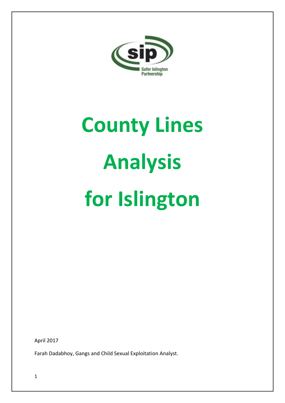

# **County Lines Analysis for Islington**

April 2017

Farah Dadabhoy, Gangs and Child Sexual Exploitation Analyst.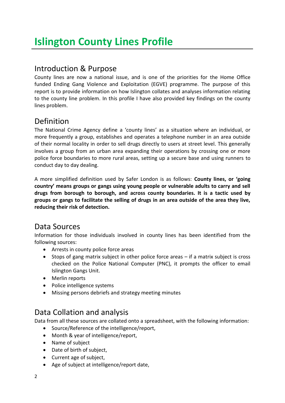## Introduction & Purpose

County lines are now a national issue, and is one of the priorities for the Home Office funded Ending Gang Violence and Exploitation (EGVE) programme. The purpose of this report is to provide information on how Islington collates and analyses information relating to the county line problem. In this profile I have also provided key findings on the county lines problem.

## Definition

The National Crime Agency define a 'county lines' as a situation where an individual, or more frequently a group, establishes and operates a telephone number in an area outside of their normal locality in order to sell drugs directly to users at street level. This generally involves a group from an urban area expanding their operations by crossing one or more police force boundaries to more rural areas, setting up a secure base and using runners to conduct day to day dealing.

A more simplified definition used by Safer London is as follows: **County lines, or 'going country' means groups or gangs using young people or vulnerable adults to carry and sell drugs from borough to borough, and across county boundaries. It is a tactic used by groups or gangs to facilitate the selling of drugs in an area outside of the area they live, reducing their risk of detection.**

## Data Sources

Information for those individuals involved in county lines has been identified from the following sources:

- Arrests in county police force areas
- Stops of gang matrix subject in other police force areas if a matrix subject is cross checked on the Police National Computer (PNC), it prompts the officer to email Islington Gangs Unit.
- Merlin reports
- Police intelligence systems
- Missing persons debriefs and strategy meeting minutes

## Data Collation and analysis

Data from all these sources are collated onto a spreadsheet, with the following information:

- Source/Reference of the intelligence/report,
- Month & year of intelligence/report,
- Name of subject
- Date of birth of subject,
- Current age of subject,
- Age of subject at intelligence/report date,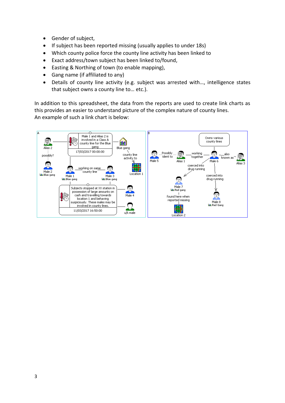- Gender of subject,
- If subject has been reported missing (usually applies to under 18s)
- Which county police force the county line activity has been linked to
- Exact address/town subject has been linked to/found,
- Easting & Northing of town (to enable mapping),
- Gang name (if affiliated to any)
- Details of county line activity (e.g. subject was arrested with…, intelligence states that subject owns a county line to… etc.).

In addition to this spreadsheet, the data from the reports are used to create link charts as this provides an easier to understand picture of the complex nature of county lines. An example of such a link chart is below:

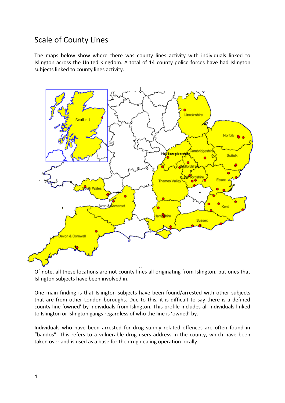## Scale of County Lines

The maps below show where there was county lines activity with individuals linked to Islington across the United Kingdom. A total of 14 county police forces have had Islington subjects linked to county lines activity.



Of note, all these locations are not county lines all originating from Islington, but ones that Islington subjects have been involved in.

One main finding is that Islington subjects have been found/arrested with other subjects that are from other London boroughs. Due to this, it is difficult to say there is a defined county line 'owned' by individuals from Islington. This profile includes all individuals linked to Islington or Islington gangs regardless of who the line is 'owned' by.

Individuals who have been arrested for drug supply related offences are often found in "bandos". This refers to a vulnerable drug users address in the county, which have been taken over and is used as a base for the drug dealing operation locally.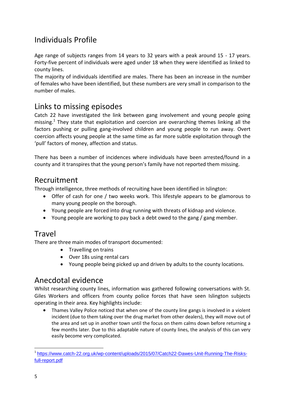## Individuals Profile

Age range of subjects ranges from 14 years to 32 years with a peak around 15 - 17 years. Forty-five percent of individuals were aged under 18 when they were identified as linked to county lines.

The majority of individuals identified are males. There has been an increase in the number of females who have been identified, but these numbers are very small in comparison to the number of males.

## Links to missing episodes

Catch 22 have investigated the link between gang involvement and young people going missing.<sup>1</sup> They state that exploitation and coercion are overarching themes linking all the factors pushing or pulling gang-involved children and young people to run away. Overt coercion affects young people at the same time as far more subtle exploitation through the 'pull' factors of money, affection and status.

There has been a number of incidences where individuals have been arrested/found in a county and it transpires that the young person's family have not reported them missing.

## Recruitment

Through intelligence, three methods of recruiting have been identified in Islington:

- Offer of cash for one / two weeks work. This lifestyle appears to be glamorous to many young people on the borough.
- Young people are forced into drug running with threats of kidnap and violence.
- Young people are working to pay back a debt owed to the gang / gang member.

## Travel

There are three main modes of transport documented:

- Travelling on trains
- Over 18s using rental cars
- Young people being picked up and driven by adults to the county locations.

## Anecdotal evidence

Whilst researching county lines, information was gathered following conversations with St. Giles Workers and officers from county police forces that have seen Islington subjects operating in their area. Key highlights include:

 Thames Valley Police noticed that when one of the county line gangs is involved in a violent incident (due to them taking over the drug market from other dealers), they will move out of the area and set up in another town until the focus on them calms down before returning a few months later. Due to this adaptable nature of county lines, the analysis of this can very easily become very complicated.

1

<sup>&</sup>lt;sup>1</sup>[https://www.catch-22.org.uk/wp-content/uploads/2015/07/Catch22-Dawes-Unit-Running-The-Risks](https://www.catch-22.org.uk/wp-content/uploads/2015/07/Catch22-Dawes-Unit-Running-The-Risks-full-report.pdf)[full-report.pdf](https://www.catch-22.org.uk/wp-content/uploads/2015/07/Catch22-Dawes-Unit-Running-The-Risks-full-report.pdf)